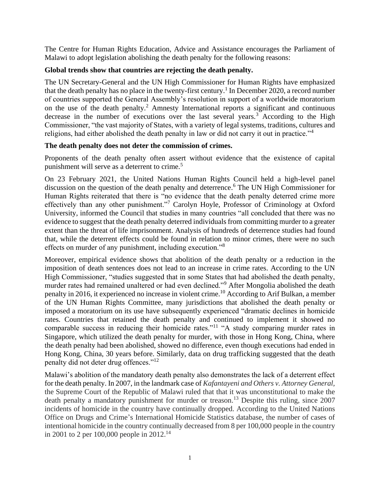The Centre for Human Rights Education, Advice and Assistance encourages the Parliament of Malawi to adopt legislation abolishing the death penalty for the following reasons:

# **Global trends show that countries are rejecting the death penalty.**

The UN Secretary-General and the UN High Commissioner for Human Rights have emphasized that the death penalty has no place in the twenty-first century.<sup>1</sup> In December 2020, a record number of countries supported the General Assembly's resolution in support of a worldwide moratorium on the use of the death penalty.<sup>2</sup> Amnesty International reports a significant and continuous decrease in the number of executions over the last several years.<sup>3</sup> According to the High Commissioner, "the vast majority of States, with a variety of legal systems, traditions, cultures and religions, had either abolished the death penalty in law or did not carry it out in practice."<sup>4</sup>

# **The death penalty does not deter the commission of crimes.**

Proponents of the death penalty often assert without evidence that the existence of capital punishment will serve as a deterrent to crime.<sup>5</sup>

On 23 February 2021, the United Nations Human Rights Council held a high-level panel discussion on the question of the death penalty and deterrence. <sup>6</sup> The UN High Commissioner for Human Rights reiterated that there is "no evidence that the death penalty deterred crime more effectively than any other punishment."<sup>7</sup> Carolyn Hoyle, Professor of Criminology at Oxford University, informed the Council that studies in many countries "all concluded that there was no evidence to suggest that the death penalty deterred individuals from committing murder to a greater extent than the threat of life imprisonment. Analysis of hundreds of deterrence studies had found that, while the deterrent effects could be found in relation to minor crimes, there were no such effects on murder of any punishment, including execution."<sup>8</sup>

Moreover, empirical evidence shows that abolition of the death penalty or a reduction in the imposition of death sentences does not lead to an increase in crime rates. According to the UN High Commissioner, "studies suggested that in some States that had abolished the death penalty, murder rates had remained unaltered or had even declined."<sup>9</sup> After Mongolia abolished the death penalty in 2016, it experienced no increase in violent crime.<sup>10</sup> According to Arif Bulkan, a member of the UN Human Rights Committee, many jurisdictions that abolished the death penalty or imposed a moratorium on its use have subsequently experienced "dramatic declines in homicide rates. Countries that retained the death penalty and continued to implement it showed no comparable success in reducing their homicide rates."<sup>11</sup> "A study comparing murder rates in Singapore, which utilized the death penalty for murder, with those in Hong Kong, China, where the death penalty had been abolished, showed no difference, even though executions had ended in Hong Kong, China, 30 years before. Similarly, data on drug trafficking suggested that the death penalty did not deter drug offences."<sup>12</sup>

Malawi's abolition of the mandatory death penalty also demonstrates the lack of a deterrent effect for the death penalty. In 2007, in the landmark case of *Kafantayeni and Others v. Attorney General,*  the Supreme Court of the Republic of Malawi ruled that that it was unconstitutional to make the death penalty a mandatory punishment for murder or treason.<sup>13</sup> Despite this ruling, since 2007 incidents of homicide in the country have continually dropped. According to the United Nations Office on Drugs and Crime's International Homicide Statistics database, the number of cases of intentional homicide in the country continually decreased from 8 per 100,000 people in the country in 2001 to 2 per 100,000 people in  $2012$ <sup>14</sup>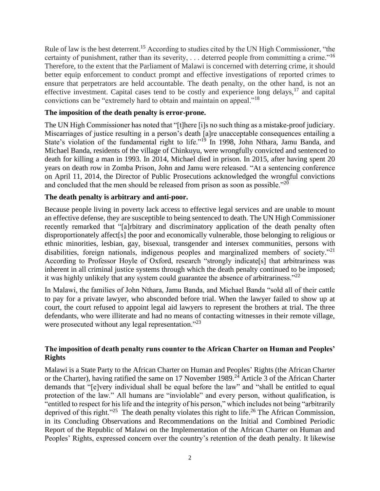Rule of law is the best deterrent.<sup>15</sup> According to studies cited by the UN High Commissioner, "the certainty of punishment, rather than its severity,  $\dots$  deterred people from committing a crime."<sup>16</sup> Therefore, to the extent that the Parliament of Malawi is concerned with deterring crime, it should better equip enforcement to conduct prompt and effective investigations of reported crimes to ensure that perpetrators are held accountable. The death penalty, on the other hand, is not an effective investment. Capital cases tend to be costly and experience long delays,<sup>17</sup> and capital convictions can be "extremely hard to obtain and maintain on appeal."<sup>18</sup>

# **The imposition of the death penalty is error-prone.**

The UN High Commissioner has noted that "[t]here [i]s no such thing as a mistake-proof judiciary. Miscarriages of justice resulting in a person's death [a]re unacceptable consequences entailing a State's violation of the fundamental right to life."<sup>19</sup> In 1998, John Nthara, Jamu Banda, and Michael Banda, residents of the village of Chinkuyu, were wrongfully convicted and sentenced to death for killing a man in 1993. In 2014, Michael died in prison. In 2015, after having spent 20 years on death row in Zomba Prison, John and Jamu were released. "At a sentencing conference on April 11, 2014, the Director of Public Prosecutions acknowledged the wrongful convictions and concluded that the men should be released from prison as soon as possible."<sup>20</sup>

# **The death penalty is arbitrary and anti-poor.**

Because people living in poverty lack access to effective legal services and are unable to mount an effective defense, they are susceptible to being sentenced to death. The UN High Commissioner recently remarked that "[a]rbitrary and discriminatory application of the death penalty often disproportionately affect[s] the poor and economically vulnerable, those belonging to religious or ethnic minorities, lesbian, gay, bisexual, transgender and intersex communities, persons with disabilities, foreign nationals, indigenous peoples and marginalized members of society."<sup>21</sup> According to Professor Hoyle of Oxford, research "strongly indicate[s] that arbitrariness was inherent in all criminal justice systems through which the death penalty continued to be imposed; it was highly unlikely that any system could guarantee the absence of arbitrariness." $^{22}$ 

In Malawi, the families of John Nthara, Jamu Banda, and Michael Banda "sold all of their cattle to pay for a private lawyer, who absconded before trial. When the lawyer failed to show up at court, the court refused to appoint legal aid lawyers to represent the brothers at trial. The three defendants, who were illiterate and had no means of contacting witnesses in their remote village, were prosecuted without any legal representation."<sup>23</sup>

# **The imposition of death penalty runs counter to the African Charter on Human and Peoples' Rights**

Malawi is a State Party to the African Charter on Human and Peoples' Rights (the African Charter or the Charter), having ratified the same on 17 November 1989.<sup>24</sup> Article 3 of the African Charter demands that "[e]very individual shall be equal before the law" and "shall be entitled to equal protection of the law." All humans are "inviolable" and every person, without qualification, is "entitled to respect for his life and the integrity of his person," which includes not being "arbitrarily deprived of this right."<sup>25</sup> The death penalty violates this right to life.<sup>26</sup> The African Commission, in its Concluding Observations and Recommendations on the Initial and Combined Periodic Report of the Republic of Malawi on the Implementation of the African Charter on Human and Peoples' Rights, expressed concern over the country's retention of the death penalty. It likewise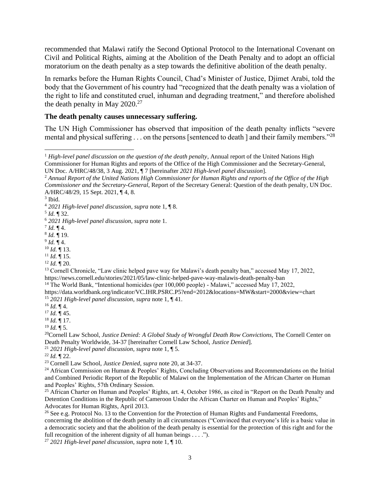recommended that Malawi ratify the Second Optional Protocol to the International Covenant on Civil and Political Rights, aiming at the Abolition of the Death Penalty and to adopt an official moratorium on the death penalty as a step towards the definitive abolition of the death penalty.

In remarks before the Human Rights Council, Chad's Minister of Justice, Djimet Arabi, told the body that the Government of his country had "recognized that the death penalty was a violation of the right to life and constituted cruel, inhuman and degrading treatment," and therefore abolished the death penalty in May  $2020^{27}$ 

## **The death penalty causes unnecessary suffering.**

The UN High Commissioner has observed that imposition of the death penalty inflicts "severe mental and physical suffering . . . on the persons [sentenced to death ] and their family members."<sup>28</sup>

<sup>12</sup> *Id.* ¶ 20.

<sup>13</sup> Cornell Chronicle, "Law clinic helped pave way for Malawi's death penalty ban," accessed May 17, 2022, https://news.cornell.edu/stories/2021/05/law-clinic-helped-pave-way-malawis-death-penalty-ban

https://data.worldbank.org/indicator/VC.IHR.PSRC.P5?end=2012&locations=MW&start=2000&view=chart <sup>15</sup> *2021 High-level panel discussion*, *supra* note 1, ¶ 41.

<sup>18</sup> *Id.* ¶ 17.

 $^{19}$  *Id.* ¶ 5.

<sup>20</sup>Cornell Law School, *Justice Denied: A Global Study of Wrongful Death Row Convictions*, The Cornell Center on Death Penalty Worldwide, 34-37 [hereinafter Cornell Law School, *Justice Denied*].

<sup>21</sup> *2021 High-level panel discussion*, *supra* note 1, ¶ 5.

 $^{22}$  *Id.*  $\P$  22.

<sup>23</sup> Cornell Law School, *Justice Denied*, *supra* note 20, at 34-37.

<sup>24</sup> African Commission on Human & Peoples' Rights, Concluding Observations and Recommendations on the Initial and Combined Periodic Report of the Republic of Malawi on the Implementation of the African Charter on Human and Peoples' Rights, 57th Ordinary Session.

<sup>25</sup> African Charter on Human and Peoples' Rights, art. 4, October 1986, as cited in "Report on the Death Penalty and Detention Conditions in the Republic of Cameroon Under the African Charter on Human and Peoples' Rights," Advocates for Human Rights, April 2013.

<sup>26</sup> See e.g. Protocol No. 13 to the Convention for the Protection of Human Rights and Fundamental Freedoms, concerning the abolition of the death penalty in all circumstances ("Convinced that everyone's life is a basic value in a democratic society and that the abolition of the death penalty is essential for the protection of this right and for the full recognition of the inherent dignity of all human beings . . . .").

<sup>27</sup> *2021 High-level panel discussion*, *supra* note 1, ¶ 10.

<sup>&</sup>lt;sup>1</sup> High-level panel discussion on the question of the death penalty, Annual report of the United Nations High Commissioner for Human Rights and reports of the Office of the High Commissioner and the Secretary-General, UN Doc. A/HRC/48/38, 3 Aug. 2021, ¶ 7 [hereinafter *2021 High-level panel discussion*].

<sup>2</sup> *Annual Report of the United Nations High Commissioner for Human Rights and reports of the Office of the High Commissioner and the Secretary-General*, Report of the Secretary General: Question of the death penalty, UN Doc. A/HRC/48/29, 15 Sept. 2021, ¶ 4, 8.

<sup>3</sup> Ibid.

<sup>4</sup> *2021 High-level panel discussion*, *supra* note 1, ¶ 8.

<sup>5</sup> *Id.* ¶ 32.

<sup>6</sup> *2021 High-level panel discussion*, *supra* note 1.

 $^{7}$  *Id.*  $\P$  4.

<sup>8</sup> *Id.* ¶ 19.

<sup>9</sup> *Id.* ¶ 4.

<sup>10</sup> *Id.* ¶ 13.

 $11$  *Id.*  $\overline{9}$  15.

<sup>&</sup>lt;sup>14</sup> The World Bank, "Intentional homicides (per 100,000 people) - Malawi," accessed May 17, 2022,

 $16$  *Id.* ¶ 4.

<sup>17</sup> *Id.* ¶ 45.